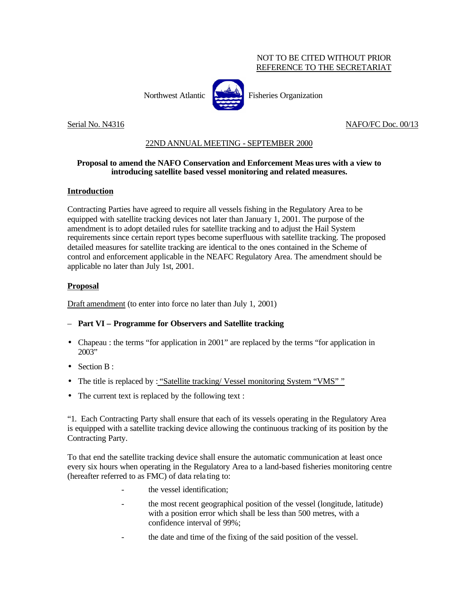## NOT TO BE CITED WITHOUT PRIOR REFERENCE TO THE SECRETARIAT

Northwest Atlantic Fisheries Organization

Serial No. N4316 NAFO/FC Doc. 00/13

# 22ND ANNUAL MEETING - SEPTEMBER 2000

## **Proposal to amend the NAFO Conservation and Enforcement Meas ures with a view to introducing satellite based vessel monitoring and related measures.**

### **Introduction**

Contracting Parties have agreed to require all vessels fishing in the Regulatory Area to be equipped with satellite tracking devices not later than January 1, 2001. The purpose of the amendment is to adopt detailed rules for satellite tracking and to adjust the Hail System requirements since certain report types become superfluous with satellite tracking. The proposed detailed measures for satellite tracking are identical to the ones contained in the Scheme of control and enforcement applicable in the NEAFC Regulatory Area. The amendment should be applicable no later than July 1st, 2001.

### **Proposal**

Draft amendment (to enter into force no later than July 1, 2001)

### – **Part VI – Programme for Observers and Satellite tracking**

- Chapeau : the terms "for application in 2001" are replaced by the terms "for application in 2003"
- Section B:
- The title is replaced by : "Satellite tracking/ Vessel monitoring System "VMS""
- The current text is replaced by the following text :

"1. Each Contracting Party shall ensure that each of its vessels operating in the Regulatory Area is equipped with a satellite tracking device allowing the continuous tracking of its position by the Contracting Party.

To that end the satellite tracking device shall ensure the automatic communication at least once every six hours when operating in the Regulatory Area to a land-based fisheries monitoring centre (hereafter referred to as FMC) of data rela ting to:

- the vessel identification;
- the most recent geographical position of the vessel (longitude, latitude) with a position error which shall be less than 500 metres, with a confidence interval of 99%;
- the date and time of the fixing of the said position of the vessel.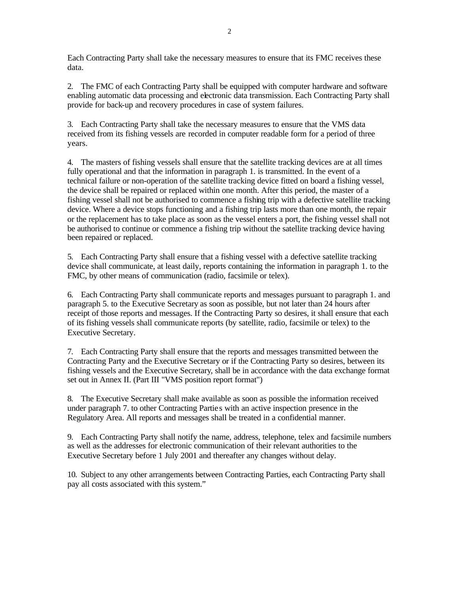Each Contracting Party shall take the necessary measures to ensure that its FMC receives these data.

2. The FMC of each Contracting Party shall be equipped with computer hardware and software enabling automatic data processing and electronic data transmission. Each Contracting Party shall provide for back-up and recovery procedures in case of system failures.

3. Each Contracting Party shall take the necessary measures to ensure that the VMS data received from its fishing vessels are recorded in computer readable form for a period of three years.

4. The masters of fishing vessels shall ensure that the satellite tracking devices are at all times fully operational and that the information in paragraph 1. is transmitted. In the event of a technical failure or non-operation of the satellite tracking device fitted on board a fishing vessel, the device shall be repaired or replaced within one month. After this period, the master of a fishing vessel shall not be authorised to commence a fishing trip with a defective satellite tracking device. Where a device stops functioning and a fishing trip lasts more than one month, the repair or the replacement has to take place as soon as the vessel enters a port, the fishing vessel shall not be authorised to continue or commence a fishing trip without the satellite tracking device having been repaired or replaced.

5. Each Contracting Party shall ensure that a fishing vessel with a defective satellite tracking device shall communicate, at least daily, reports containing the information in paragraph 1. to the FMC, by other means of communication (radio, facsimile or telex).

6. Each Contracting Party shall communicate reports and messages pursuant to paragraph 1. and paragraph 5. to the Executive Secretary as soon as possible, but not later than 24 hours after receipt of those reports and messages. If the Contracting Party so desires, it shall ensure that each of its fishing vessels shall communicate reports (by satellite, radio, facsimile or telex) to the Executive Secretary.

7. Each Contracting Party shall ensure that the reports and messages transmitted between the Contracting Party and the Executive Secretary or if the Contracting Party so desires, between its fishing vessels and the Executive Secretary, shall be in accordance with the data exchange format set out in Annex II. (Part III "VMS position report format")

8. The Executive Secretary shall make available as soon as possible the information received under paragraph 7. to other Contracting Partie s with an active inspection presence in the Regulatory Area. All reports and messages shall be treated in a confidential manner.

9. Each Contracting Party shall notify the name, address, telephone, telex and facsimile numbers as well as the addresses for electronic communication of their relevant authorities to the Executive Secretary before 1 July 2001 and thereafter any changes without delay.

10. Subject to any other arrangements between Contracting Parties, each Contracting Party shall pay all costs associated with this system."